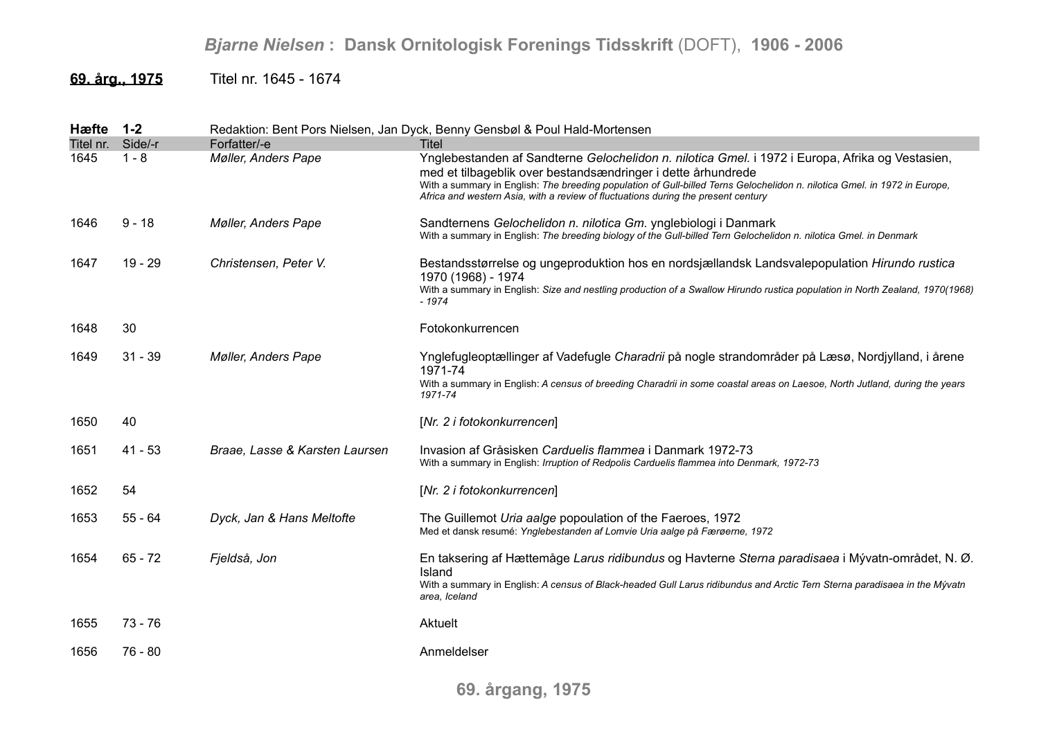## *Bjarne Nielsen* **: Dansk Ornitologisk Forenings Tidsskrift** (DOFT), **1906 - 2006**

**69. årg., 1975** Titel nr. 1645 - 1674

| Hæfte     | $1 - 2$   |                                | Redaktion: Bent Pors Nielsen, Jan Dyck, Benny Gensbøl & Poul Hald-Mortensen                                                                                                                                                                                                                                                                                                        |
|-----------|-----------|--------------------------------|------------------------------------------------------------------------------------------------------------------------------------------------------------------------------------------------------------------------------------------------------------------------------------------------------------------------------------------------------------------------------------|
| Titel nr. | Side/-r   | Forfatter/-e                   | <b>Titel</b>                                                                                                                                                                                                                                                                                                                                                                       |
| 1645      | $1 - 8$   | Møller, Anders Pape            | Ynglebestanden af Sandterne Gelochelidon n. nilotica Gmel. i 1972 i Europa, Afrika og Vestasien,<br>med et tilbageblik over bestandsændringer i dette århundrede<br>With a summary in English: The breeding population of Gull-billed Terns Gelochelidon n. nilotica Gmel. in 1972 in Europe,<br>Africa and western Asia, with a review of fluctuations during the present century |
| 1646      | $9 - 18$  | <b>Møller, Anders Pape</b>     | Sandternens Gelochelidon n. nilotica Gm. ynglebiologi i Danmark<br>With a summary in English: The breeding biology of the Gull-billed Tern Gelochelidon n. nilotica Gmel. in Denmark                                                                                                                                                                                               |
| 1647      | $19 - 29$ | Christensen, Peter V.          | Bestandsstørrelse og ungeproduktion hos en nordsjællandsk Landsvalepopulation Hirundo rustica<br>1970 (1968) - 1974<br>With a summary in English: Size and nestling production of a Swallow Hirundo rustica population in North Zealand, 1970(1968)<br>$-1974$                                                                                                                     |
| 1648      | 30        |                                | Fotokonkurrencen                                                                                                                                                                                                                                                                                                                                                                   |
| 1649      | $31 - 39$ | <b>Møller, Anders Pape</b>     | Ynglefugleoptællinger af Vadefugle Charadrii på nogle strandområder på Læsø, Nordjylland, i årene<br>1971-74<br>With a summary in English: A census of breeding Charadrii in some coastal areas on Laesoe, North Jutland, during the years<br>1971-74                                                                                                                              |
| 1650      | 40        |                                | [Nr. 2 i fotokonkurrencen]                                                                                                                                                                                                                                                                                                                                                         |
| 1651      | $41 - 53$ | Braae, Lasse & Karsten Laursen | Invasion af Gråsisken Carduelis flammea i Danmark 1972-73<br>With a summary in English: Irruption of Redpolis Carduelis flammea into Denmark, 1972-73                                                                                                                                                                                                                              |
| 1652      | 54        |                                | [Nr. 2 i fotokonkurrencen]                                                                                                                                                                                                                                                                                                                                                         |
| 1653      | $55 - 64$ | Dyck, Jan & Hans Meltofte      | The Guillemot Uria aalge popoulation of the Faeroes, 1972<br>Med et dansk resumé: Ynglebestanden af Lomvie Uria aalge på Færøerne, 1972                                                                                                                                                                                                                                            |
| 1654      | $65 - 72$ | Fjeldså, Jon                   | En taksering af Hættemåge Larus ridibundus og Havterne Sterna paradisaea i Mývatn-området, N. Ø.<br><b>Island</b><br>With a summary in English: A census of Black-headed Gull Larus ridibundus and Arctic Tern Sterna paradisaea in the Mývatn<br>area, Iceland                                                                                                                    |
| 1655      | $73 - 76$ |                                | Aktuelt                                                                                                                                                                                                                                                                                                                                                                            |
| 1656      | $76 - 80$ |                                | Anmeldelser                                                                                                                                                                                                                                                                                                                                                                        |
|           |           |                                |                                                                                                                                                                                                                                                                                                                                                                                    |